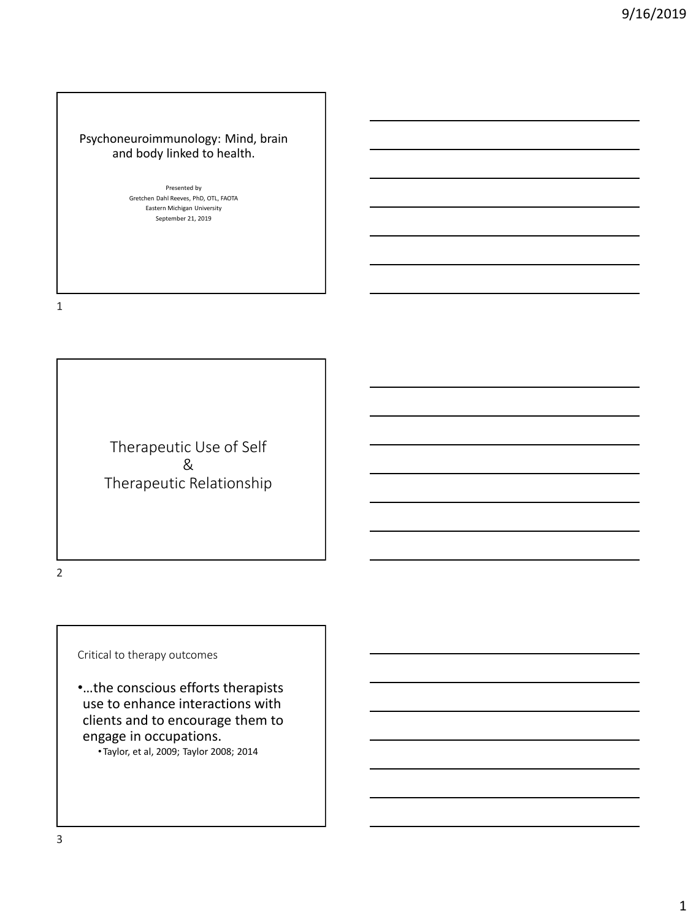# Psychoneuroimmunology: Mind, brain and body linked to health.

Presented by<br>Gretchen Dahl Reeves, PhD, OTL, FAOTA Gretchen Dani Reeves, PhD, OTL,<br>Eastern Michigan University Presented by September 21, 2019

1

Therapeutic Use of Self & Therapeutic Relationship

2

Critical to therapy outcomes

•…the conscious efforts therapists use to enhance interactions with clients and to encourage them to engage in occupations.

• Taylor, et al, 2009; Taylor 2008; 2014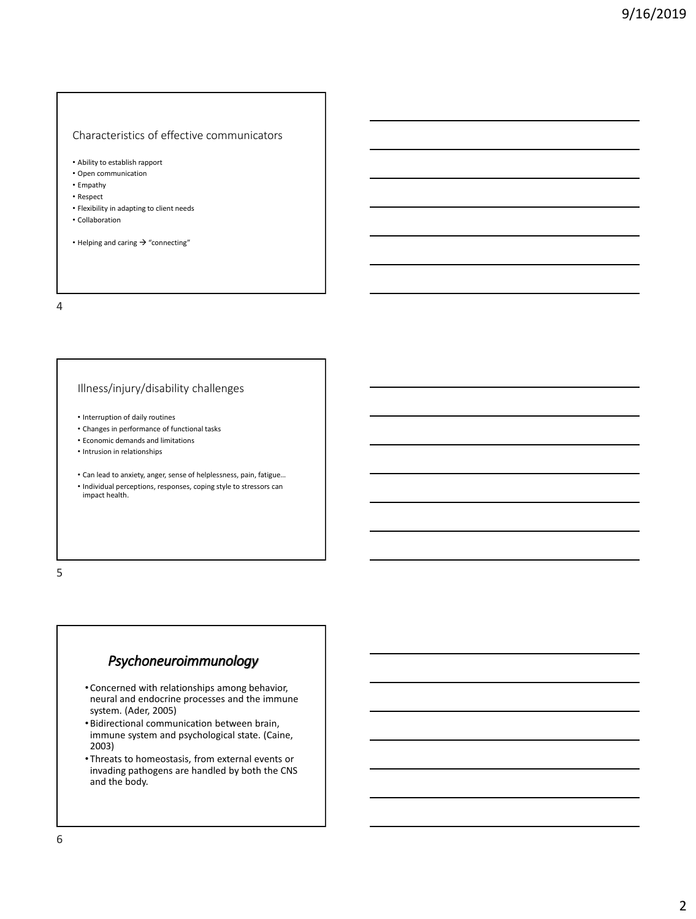## Characteristics of effective communicators

- Ability to establish rapport
- Open communication
- Empathy
- Respect
- Flexibility in adapting to client needs
- Collaboration
- Helping and caring → "connecting"

#### 4

## Illness/injury/disability challenges

- Interruption of daily routines
- Changes in performance of functional tasks
- Economic demands and limitations
- Intrusion in relationships
- Can lead to anxiety, anger, sense of helplessness, pain, fatigue…
- Individual perceptions, responses, coping style to stressors can impact health.

5

# *Psychoneuroimmunology*

- Concerned with relationships among behavior, neural and endocrine processes and the immune system. (Ader, 2005)
- •Bidirectional communication between brain, immune system and psychological state. (Caine, 2003)
- Threats to homeostasis, from external events or invading pathogens are handled by both the CNS and the body.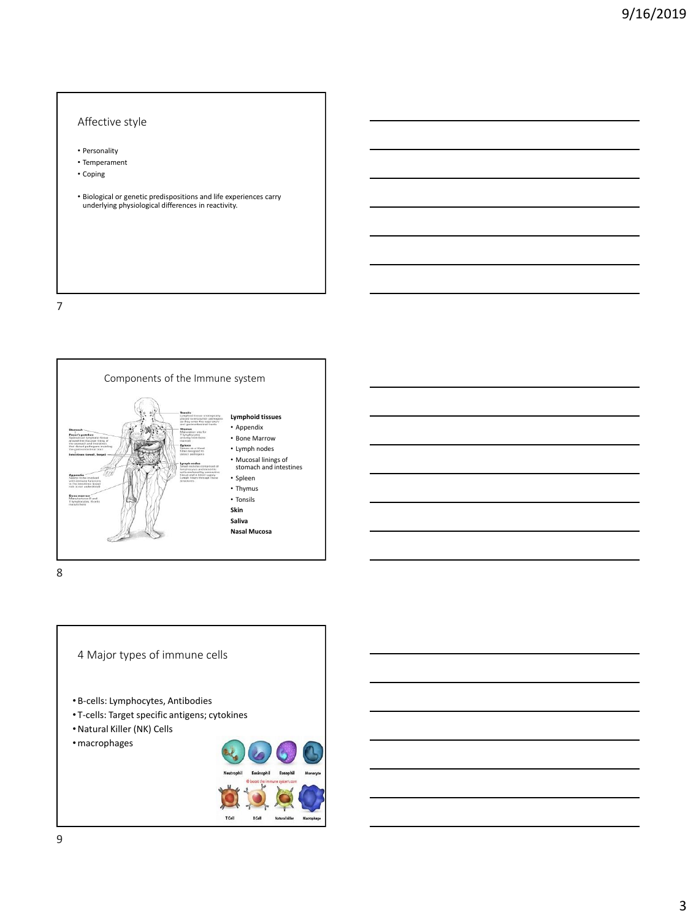## Affective style

- Personality
- Temperament
- Coping

• Biological or genetic predispositions and life experiences carry underlying physiological differences in reactivity.

7



8

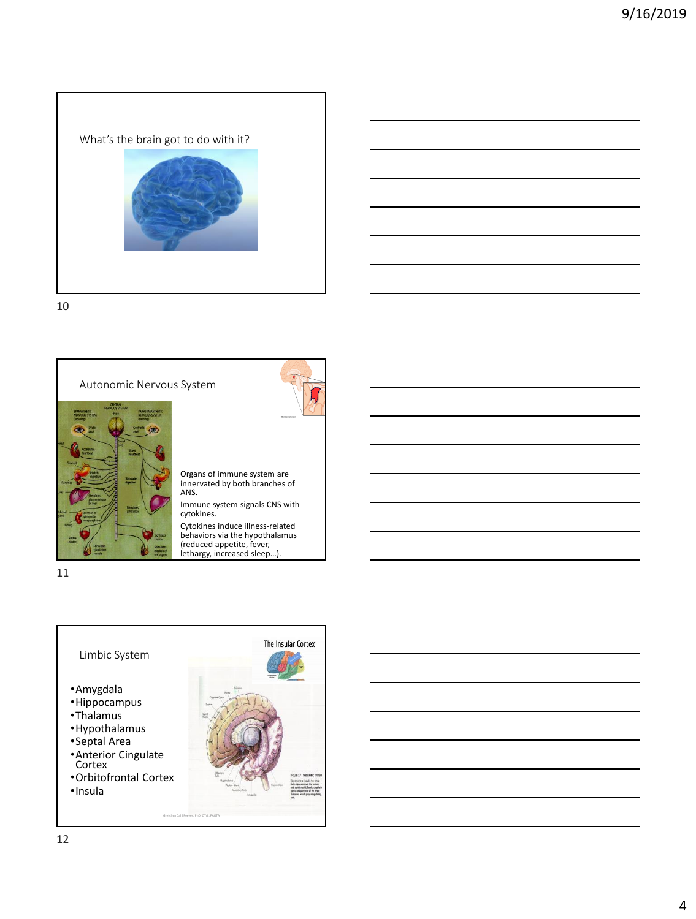What's the brain got to do with it?

10



11







Cytokines induce illness-related behaviors via the hypothalamus (reduced appetite, fever, lethargy, increased sleep…).

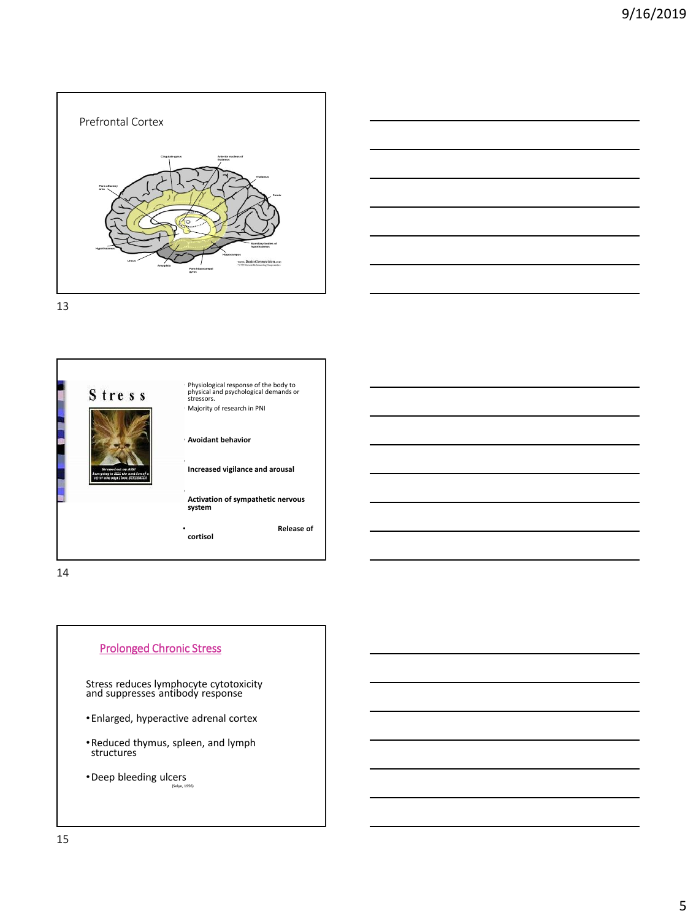



13



14



Stress reduces lymphocyte cytotoxicity and suppresses antibody response

- •Enlarged, hyperactive adrenal cortex
- •Reduced thymus, spleen, and lymph structures

•Deep bleeding ulcers (Selye, 1956)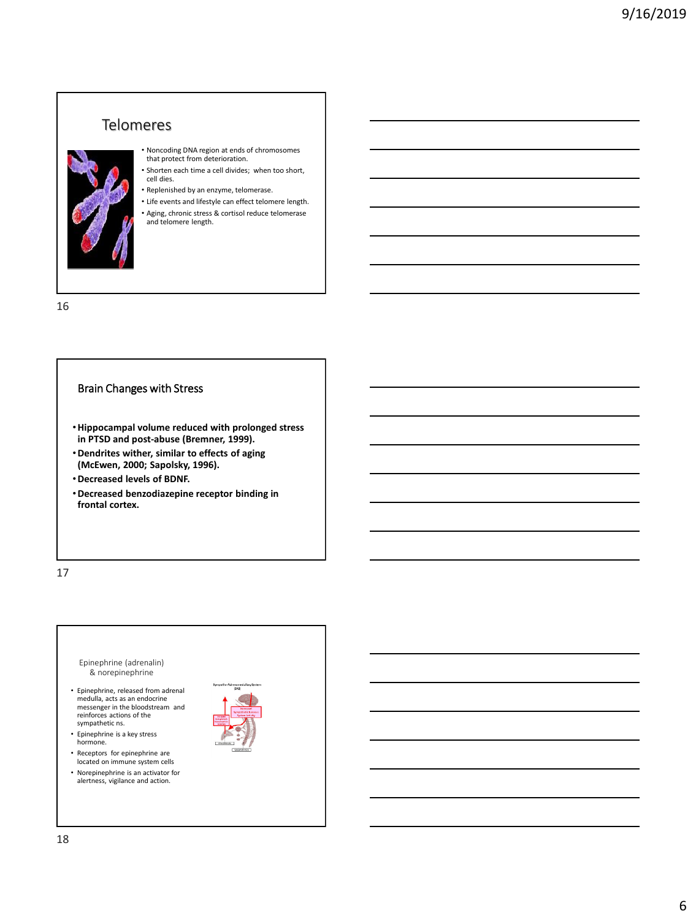# Telomeres



- Noncoding DNA region at ends of chromosomes that protect from deterioration.
- Shorten each time a cell divides; when too short, cell dies. • Replenished by an enzyme, telomerase.
- 
- Life events and lifestyle can effect telomere length. • Aging, chronic stress & cortisol reduce telomerase and telomere length.

16

# Brain Changes with Stress

- •**Hippocampal volume reduced with prolonged stress in PTSD and post-abuse (Bremner, 1999).**
- •**Dendrites wither, similar to effects of aging (McEwen, 2000; Sapolsky, 1996).**
- •**Decreased levels of BDNF.**
- •**Decreased benzodiazepine receptor binding in frontal cortex.**

17

#### Epinephrine (adrenalin) & norepinephrine

- Epinephrine, released from adrenal medulla, acts as an endocrine messenger in the bloodstream and reinforces actions of the sympathetic ns.
- Epinephrine is a key stress hormone.
- Receptors for epinephrine are located on immune system cells
- Norepinephrine is an activator for alertness, vigilance and action.

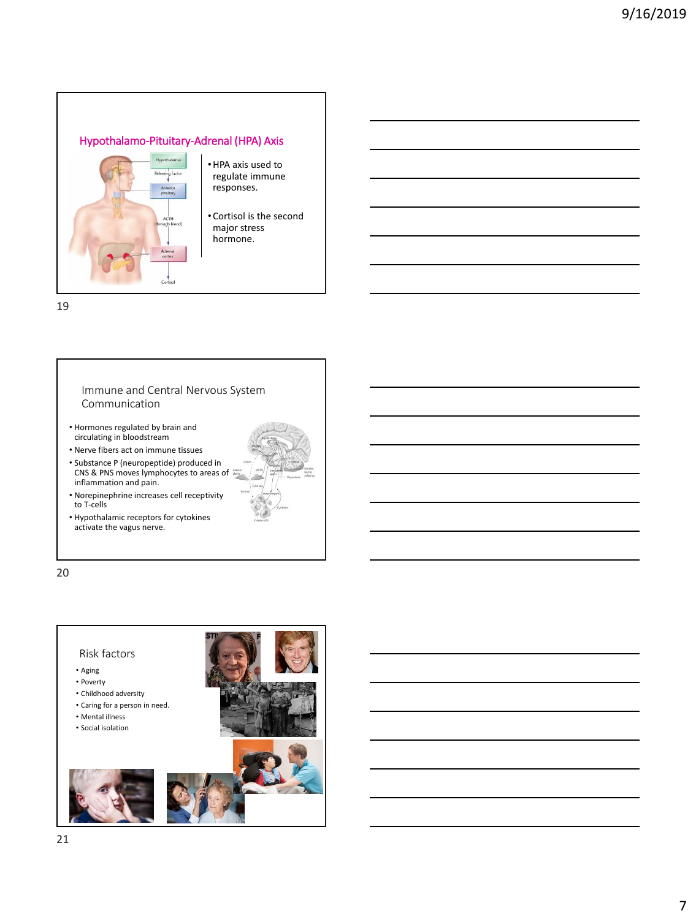# Hypothalamo-Pituitary-Adrenal (HPA) Axis



- •HPA axis used to regulate immune responses.
- Cortisol is the second major stress hormone.

19

### Immune and Central Nervous System Communication

- Hormones regulated by brain and circulating in bloodstream
- Nerve fibers act on immune tissues
- Substance P (neuropeptide) produced in CNS & PNS moves lymphocytes to areas of inflammation and pain.



• Hypothalamic receptors for cytokines activate the vagus nerve.

20

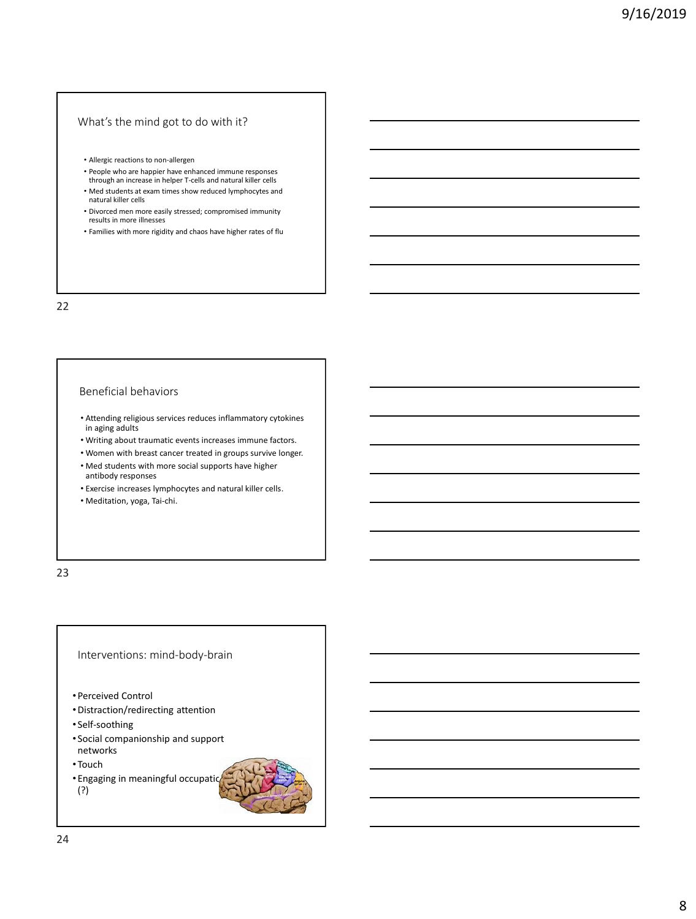## What's the mind got to do with it?

- Allergic reactions to non-allergen
- People who are happier have enhanced immune responses through an increase in helper T-cells and natural killer cells
- Med students at exam times show reduced lymphocytes and natural killer cells
- Divorced men more easily stressed; compromised immunity results in more illnesses
- Families with more rigidity and chaos have higher rates of flu

22

### Beneficial behaviors

- Attending religious services reduces inflammatory cytokines in aging adults
- Writing about traumatic events increases immune factors.
- Women with breast cancer treated in groups survive longer.
- Med students with more social supports have higher antibody responses
- Exercise increases lymphocytes and natural killer cells.
- Meditation, yoga, Tai-chi.

23

# Interventions: mind-body-brain

- Perceived Control
- •Distraction/redirecting attention
- Self-soothing
- Social companionship and support networks
- Touch
- Engaging in meaningful occupations (?)